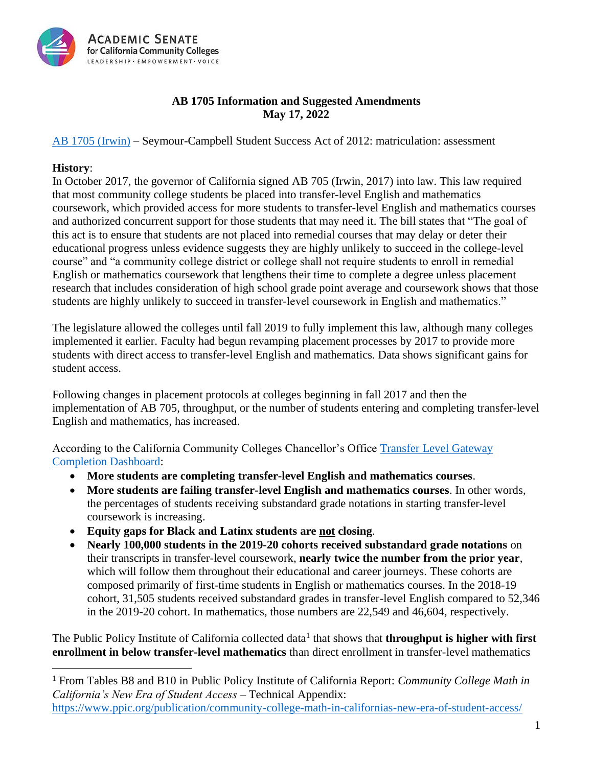

## **AB 1705 Information and Suggested Amendments May 17, 2022**

### [AB 1705 \(Irwin\)](https://leginfo.legislature.ca.gov/faces/billTextClient.xhtml?bill_id=202120220AB1705) – Seymour-Campbell Student Success Act of 2012: matriculation: assessment

#### **History**:

In October 2017, the governor of California signed AB 705 (Irwin, 2017) into law. This law required that most community college students be placed into transfer-level English and mathematics coursework, which provided access for more students to transfer-level English and mathematics courses and authorized concurrent support for those students that may need it. The bill states that "The goal of this act is to ensure that students are not placed into remedial courses that may delay or deter their educational progress unless evidence suggests they are highly unlikely to succeed in the college-level course" and "a community college district or college shall not require students to enroll in remedial English or mathematics coursework that lengthens their time to complete a degree unless placement research that includes consideration of high school grade point average and coursework shows that those students are highly unlikely to succeed in transfer-level coursework in English and mathematics."

The legislature allowed the colleges until fall 2019 to fully implement this law, although many colleges implemented it earlier. Faculty had begun revamping placement processes by 2017 to provide more students with direct access to transfer-level English and mathematics. Data shows significant gains for student access.

Following changes in placement protocols at colleges beginning in fall 2017 and then the implementation of AB 705, throughput, or the number of students entering and completing transfer-level English and mathematics, has increased.

According to the California Community Colleges Chancellor's Office [Transfer Level Gateway](https://www.cccco.edu/About-Us/Chancellors-Office/Divisions/Educational-Services-and-Support/transfer-level-dashboard)  [Completion Dashboard:](https://www.cccco.edu/About-Us/Chancellors-Office/Divisions/Educational-Services-and-Support/transfer-level-dashboard)

- **More students are completing transfer-level English and mathematics courses**.
- **More students are failing transfer-level English and mathematics courses**. In other words, the percentages of students receiving substandard grade notations in starting transfer-level coursework is increasing.
- **Equity gaps for Black and Latinx students are not closing**.
- **Nearly 100,000 students in the 2019-20 cohorts received substandard grade notations** on their transcripts in transfer-level coursework, **nearly twice the number from the prior year**, which will follow them throughout their educational and career journeys. These cohorts are composed primarily of first-time students in English or mathematics courses. In the 2018-19 cohort, 31,505 students received substandard grades in transfer-level English compared to 52,346 in the 2019-20 cohort. In mathematics, those numbers are 22,549 and 46,604, respectively.

The Public Policy Institute of California collected data<sup>1</sup> that shows that **throughput is higher with first enrollment in below transfer-level mathematics** than direct enrollment in transfer-level mathematics

<sup>1</sup> From Tables B8 and B10 in Public Policy Institute of California Report: *Community College Math in California's New Era of Student Access* – Technical Appendix:

<https://www.ppic.org/publication/community-college-math-in-californias-new-era-of-student-access/>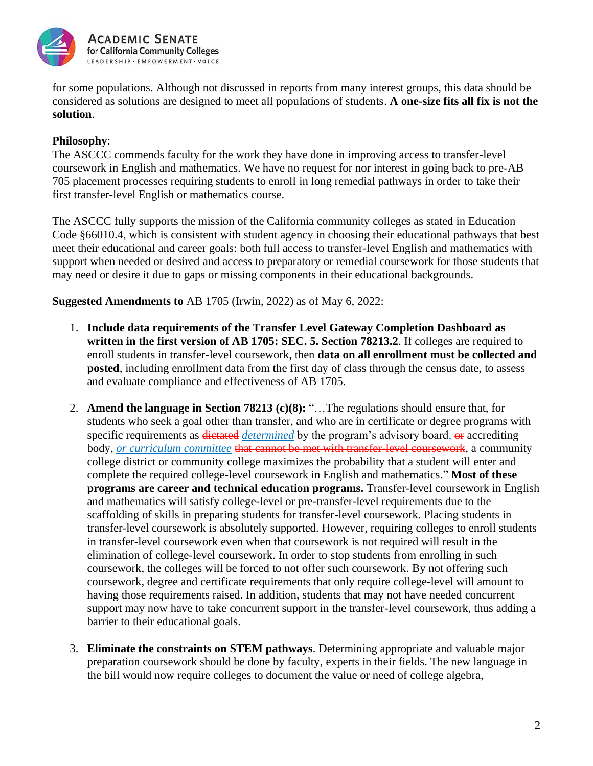

for some populations. Although not discussed in reports from many interest groups, this data should be considered as solutions are designed to meet all populations of students. **A one-size fits all fix is not the solution**.

# **Philosophy**:

The ASCCC commends faculty for the work they have done in improving access to transfer-level coursework in English and mathematics. We have no request for nor interest in going back to pre-AB 705 placement processes requiring students to enroll in long remedial pathways in order to take their first transfer-level English or mathematics course.

The ASCCC fully supports the mission of the California community colleges as stated in Education Code §66010.4, which is consistent with student agency in choosing their educational pathways that best meet their educational and career goals: both full access to transfer-level English and mathematics with support when needed or desired and access to preparatory or remedial coursework for those students that may need or desire it due to gaps or missing components in their educational backgrounds.

**Suggested Amendments to** AB 1705 (Irwin, 2022) as of May 6, 2022:

- 1. **Include data requirements of the Transfer Level Gateway Completion Dashboard as written in the first version of AB 1705: SEC. 5. Section 78213.2**. If colleges are required to enroll students in transfer-level coursework, then **data on all enrollment must be collected and posted**, including enrollment data from the first day of class through the census date, to assess and evaluate compliance and effectiveness of AB 1705.
- 2. **Amend the language in Section 78213 (c)(8):** "…The regulations should ensure that, for students who seek a goal other than transfer, and who are in certificate or degree programs with specific requirements as **dictated** *determined* by the program's advisory board, or accrediting body, *or curriculum committee* that cannot be met with transfer-level coursework, a community college district or community college maximizes the probability that a student will enter and complete the required college-level coursework in English and mathematics." **Most of these programs are career and technical education programs.** Transfer-level coursework in English and mathematics will satisfy college-level or pre-transfer-level requirements due to the scaffolding of skills in preparing students for transfer-level coursework. Placing students in transfer-level coursework is absolutely supported. However, requiring colleges to enroll students in transfer-level coursework even when that coursework is not required will result in the elimination of college-level coursework. In order to stop students from enrolling in such coursework, the colleges will be forced to not offer such coursework. By not offering such coursework, degree and certificate requirements that only require college-level will amount to having those requirements raised. In addition, students that may not have needed concurrent support may now have to take concurrent support in the transfer-level coursework, thus adding a barrier to their educational goals.
- 3. **Eliminate the constraints on STEM pathways**. Determining appropriate and valuable major preparation coursework should be done by faculty, experts in their fields. The new language in the bill would now require colleges to document the value or need of college algebra,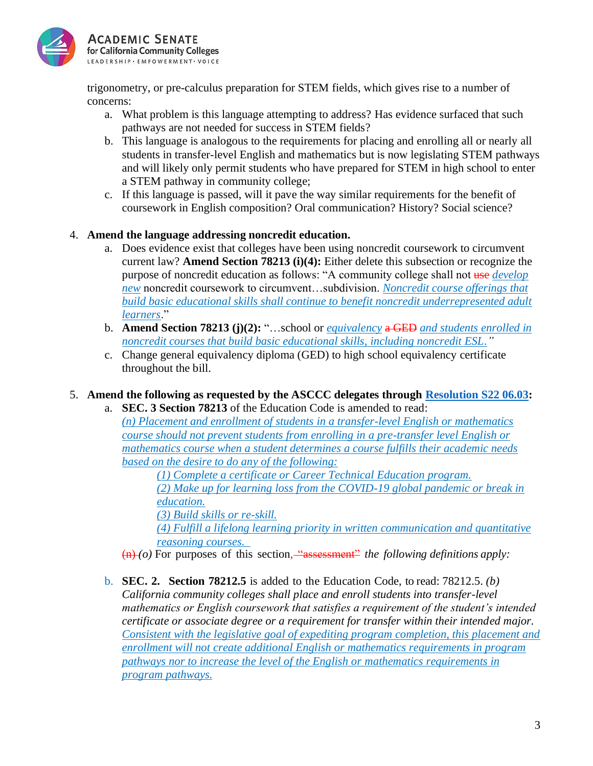

trigonometry, or pre-calculus preparation for STEM fields, which gives rise to a number of concerns:

- a. What problem is this language attempting to address? Has evidence surfaced that such pathways are not needed for success in STEM fields?
- b. This language is analogous to the requirements for placing and enrolling all or nearly all students in transfer-level English and mathematics but is now legislating STEM pathways and will likely only permit students who have prepared for STEM in high school to enter a STEM pathway in community college;
- c. If this language is passed, will it pave the way similar requirements for the benefit of coursework in English composition? Oral communication? History? Social science?

## 4. **Amend the language addressing noncredit education.**

- a. Does evidence exist that colleges have been using noncredit coursework to circumvent current law? **Amend Section 78213 (i)(4):** Either delete this subsection or recognize the purpose of noncredit education as follows: "A community college shall not use *develop new* noncredit coursework to circumvent…subdivision. *Noncredit course offerings that build basic educational skills shall continue to benefit noncredit underrepresented adult learners*."
- b. **Amend Section 78213 (j)(2):** "…school or *equivalency* a GED *and students enrolled in noncredit courses that build basic educational skills, including noncredit ESL."*
- c. Change general equivalency diploma (GED) to high school equivalency certificate throughout the bill.

## 5. **Amend the following as requested by the ASCCC delegates through [Resolution S22 06.03:](https://www.asccc.org/resolutions/upholding-california-community-college-mission-oppose-ab-1705-irwin-2022-april-9-2022)**

a. **SEC. 3 Section 78213** of the Education Code is amended to read: *(n) Placement and enrollment of students in a transfer-level English or mathematics course should not prevent students from enrolling in a pre-transfer level English or mathematics course when a student determines a course fulfills their academic needs based on the desire to do any of the following:*

*(1) Complete a certificate or Career Technical Education program. (2) Make up for learning loss from the COVID-19 global pandemic or break in education.*

*(3) Build skills or re-skill.*

*(4) Fulfill a lifelong learning priority in written communication and quantitative reasoning courses.* 

(n) *(o)* For purposes of this section, "assessment" *the following definitions apply:*

b. **SEC. 2. Section 78212.5** is added to the Education Code, to read: 78212.5. *(b) California community colleges shall place and enroll students into transfer-level mathematics or English coursework that satisfies a requirement of the student's intended certificate or associate degree or a requirement for transfer within their intended major. Consistent with the legislative goal of expediting program completion, this placement and enrollment will not create additional English or mathematics requirements in program pathways nor to increase the level of the English or mathematics requirements in program pathways.*